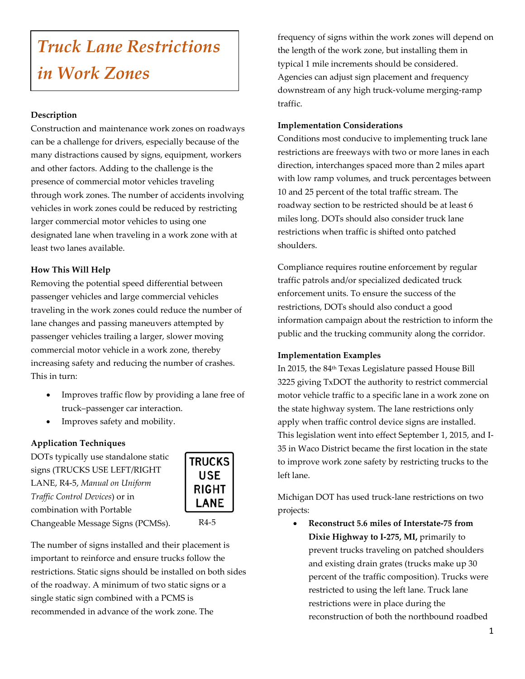# *Truck Lane Restrictions in Work Zones*

# **Description**

Construction and maintenance work zones on roadways can be a challenge for drivers, especially because of the many distractions caused by signs, equipment, workers and other factors. Adding to the challenge is the presence of commercial motor vehicles traveling through work zones. The number of accidents involving vehicles in work zones could be reduced by restricting larger commercial motor vehicles to using one designated lane when traveling in a work zone with at least two lanes available.

# **How This Will Help**

Removing the potential speed differential between passenger vehicles and large commercial vehicles traveling in the work zones could reduce the number of lane changes and passing maneuvers attempted by passenger vehicles trailing a larger, slower moving commercial motor vehicle in a work zone, thereby increasing safety and reducing the number of crashes. This in turn:

- Improves traffic flow by providing a lane free of truck–passenger car interaction.
- Improves safety and mobility.

# **Application Techniques**

DOTs typically use standalone static signs (TRUCKS USE LEFT/RIGHT LANE, R4-5, *Manual on Uniform Traffic Control Devices*) or in combination with Portable Changeable Message Signs (PCMSs).



The number of signs installed and their placement is important to reinforce and ensure trucks follow the restrictions. Static signs should be installed on both sides of the roadway. A minimum of two static signs or a single static sign combined with a PCMS is recommended in advance of the work zone. The

frequency of signs within the work zones will depend on the length of the work zone, but installing them in typical 1 mile increments should be considered. Agencies can adjust sign placement and frequency downstream of any high truck-volume merging-ramp traffic.

# **Implementation Considerations**

Conditions most conducive to implementing truck lane restrictions are freeways with two or more lanes in each direction, interchanges spaced more than 2 miles apart with low ramp volumes, and truck percentages between 10 and 25 percent of the total traffic stream. The roadway section to be restricted should be at least 6 miles long. DOTs should also consider truck lane restrictions when traffic is shifted onto patched shoulders.

Compliance requires routine enforcement by regular traffic patrols and/or specialized dedicated truck enforcement units. To ensure the success of the restrictions, DOTs should also conduct a good information campaign about the restriction to inform the public and the trucking community along the corridor.

### **Implementation Examples**

In 2015, the 84th Texas Legislature passed House Bill 3225 giving TxDOT the authority to restrict commercial motor vehicle traffic to a specific lane in a work zone on the state highway system. The lane restrictions only apply when traffic control device signs are installed. This legislation went into effect September 1, 2015, and I-35 in Waco District became the first location in the state to improve work zone safety by restricting trucks to the left lane.

Michigan DOT has used truck-lane restrictions on two projects:

• **Reconstruct 5.6 miles of Interstate-75 from Dixie Highway to I-275, MI,** primarily to prevent trucks traveling on patched shoulders and existing drain grates (trucks make up 30 percent of the traffic composition). Trucks were restricted to using the left lane. Truck lane restrictions were in place during the reconstruction of both the northbound roadbed